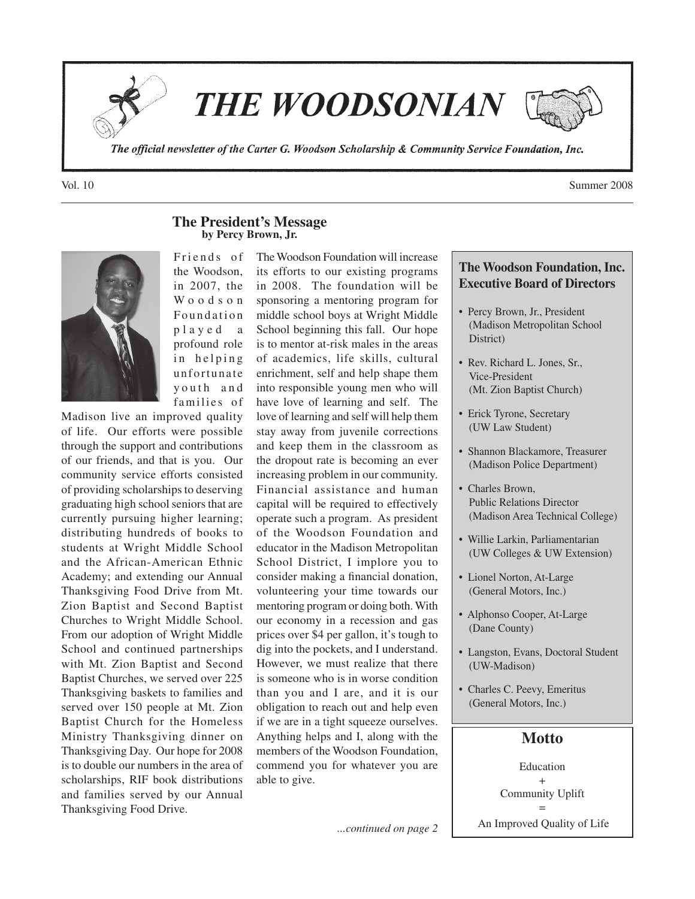

**THE WOODSONIAN** 



The official newsletter of the Carter G. Woodson Scholarship & Community Service Foundation, Inc.

**by Percy Brown, Jr.** Friends of the Woodson, in 2007, the W o o d s o n Foundation p l a y e d a profound role in helping unfortunate y outh and families of

**The President's Message**

Madison live an improved quality of life. Our efforts were possible through the support and contributions of our friends, and that is you. Our community service efforts consisted of providing scholarships to deserving graduating high school seniors that are currently pursuing higher learning; distributing hundreds of books to students at Wright Middle School and the African-American Ethnic Academy; and extending our Annual Thanksgiving Food Drive from Mt. Zion Baptist and Second Baptist Churches to Wright Middle School. From our adoption of Wright Middle School and continued partnerships with Mt. Zion Baptist and Second Baptist Churches, we served over 225 Thanksgiving baskets to families and served over 150 people at Mt. Zion Baptist Church for the Homeless Ministry Thanksgiving dinner on Thanksgiving Day. Our hope for 2008 is to double our numbers in the area of scholarships, RIF book distributions and families served by our Annual Thanksgiving Food Drive.

The Woodson Foundation will increase its efforts to our existing programs in 2008. The foundation will be sponsoring a mentoring program for middle school boys at Wright Middle School beginning this fall. Our hope is to mentor at-risk males in the areas of academics, life skills, cultural enrichment, self and help shape them into responsible young men who will have love of learning and self. The love of learning and self will help them stay away from juvenile corrections and keep them in the classroom as the dropout rate is becoming an ever increasing problem in our community. Financial assistance and human capital will be required to effectively operate such a program. As president of the Woodson Foundation and educator in the Madison Metropolitan School District, I implore you to consider making a financial donation, volunteering your time towards our mentoring program or doing both. With our economy in a recession and gas prices over \$4 per gallon, it's tough to dig into the pockets, and I understand. However, we must realize that there is someone who is in worse condition than you and I are, and it is our obligation to reach out and help even if we are in a tight squeeze ourselves. Anything helps and I, along with the members of the Woodson Foundation, commend you for whatever you are able to give.

...*continued on page 2* An Improved Quality of Life

# **The Woodson Foundation, Inc. Executive Board of Directors**

- Percy Brown, Jr., President (Madison Metropolitan School District)
- Rev. Richard L. Jones, Sr., Vice-President (Mt. Zion Baptist Church)
- Erick Tyrone, Secretary (UW Law Student)
- Shannon Blackamore, Treasurer (Madison Police Department)
- Charles Brown, Public Relations Director (Madison Area Technical College)
- Willie Larkin, Parliamentarian (UW Colleges & UW Extension)
- Lionel Norton, At-Large (General Motors, Inc.)
- Alphonso Cooper, At-Large (Dane County)
- Langston, Evans, Doctoral Student (UW-Madison)
- Charles C. Peevy, Emeritus (General Motors, Inc.)

## **Motto**

Education + Community Uplift =

Vol. 10 Summer 2008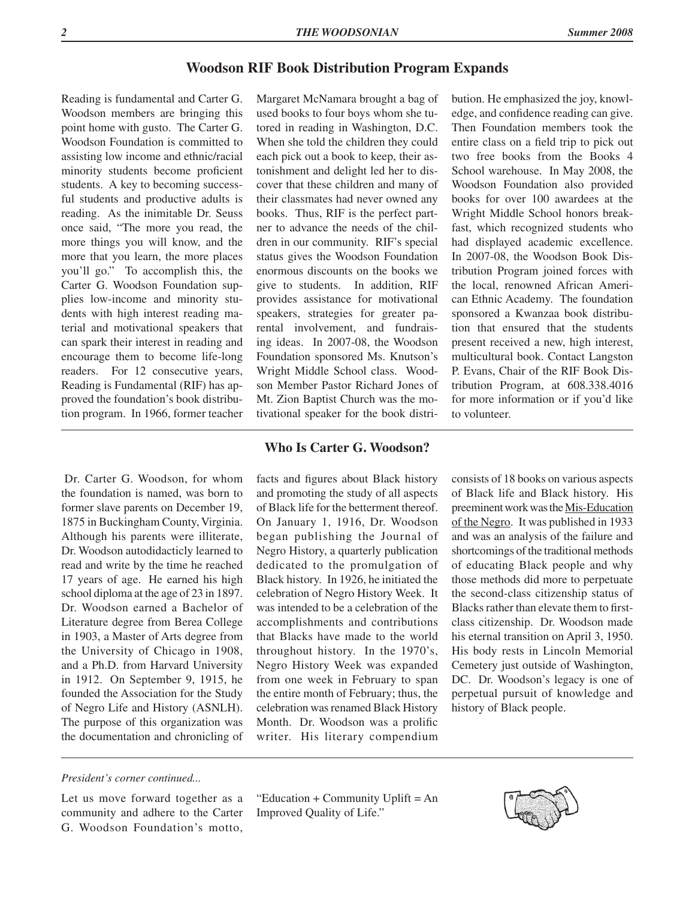## **Woodson RIF Book Distribution Program Expands**

Reading is fundamental and Carter G. Woodson members are bringing this point home with gusto. The Carter G. Woodson Foundation is committed to assisting low income and ethnic/racial minority students become proficient students. A key to becoming successful students and productive adults is reading. As the inimitable Dr. Seuss once said, "The more you read, the more things you will know, and the more that you learn, the more places you'll go." To accomplish this, the Carter G. Woodson Foundation supplies low-income and minority students with high interest reading material and motivational speakers that can spark their interest in reading and encourage them to become life-long readers. For 12 consecutive years, Reading is Fundamental (RIF) has approved the foundation's book distribution program. In 1966, former teacher

 Dr. Carter G. Woodson, for whom the foundation is named, was born to former slave parents on December 19, 1875 in Buckingham County, Virginia. Although his parents were illiterate, Dr. Woodson autodidacticly learned to read and write by the time he reached 17 years of age. He earned his high school diploma at the age of 23 in 1897. Dr. Woodson earned a Bachelor of Literature degree from Berea College in 1903, a Master of Arts degree from the University of Chicago in 1908, and a Ph.D. from Harvard University in 1912. On September 9, 1915, he founded the Association for the Study of Negro Life and History (ASNLH). The purpose of this organization was the documentation and chronicling of

Margaret McNamara brought a bag of used books to four boys whom she tutored in reading in Washington, D.C. When she told the children they could each pick out a book to keep, their astonishment and delight led her to discover that these children and many of their classmates had never owned any books. Thus, RIF is the perfect partner to advance the needs of the children in our community. RIF's special status gives the Woodson Foundation enormous discounts on the books we give to students. In addition, RIF provides assistance for motivational speakers, strategies for greater parental involvement, and fundraising ideas. In 2007-08, the Woodson Foundation sponsored Ms. Knutson's Wright Middle School class. Woodson Member Pastor Richard Jones of Mt. Zion Baptist Church was the motivational speaker for the book distri-

## bution. He emphasized the joy, knowledge, and confidence reading can give. Then Foundation members took the entire class on a field trip to pick out two free books from the Books 4 School warehouse. In May 2008, the Woodson Foundation also provided books for over 100 awardees at the Wright Middle School honors breakfast, which recognized students who had displayed academic excellence. In 2007-08, the Woodson Book Distribution Program joined forces with the local, renowned African American Ethnic Academy. The foundation sponsored a Kwanzaa book distribution that ensured that the students present received a new, high interest, multicultural book. Contact Langston P. Evans, Chair of the RIF Book Distribution Program, at 608.338.4016 for more information or if you'd like to volunteer.

## **Who Is Carter G. Woodson?**

facts and figures about Black history and promoting the study of all aspects of Black life for the betterment thereof. On January 1, 1916, Dr. Woodson began publishing the Journal of Negro History, a quarterly publication dedicated to the promulgation of Black history. In 1926, he initiated the celebration of Negro History Week. It was intended to be a celebration of the accomplishments and contributions that Blacks have made to the world throughout history. In the 1970's, Negro History Week was expanded from one week in February to span the entire month of February; thus, the celebration was renamed Black History Month. Dr. Woodson was a prolific writer. His literary compendium consists of 18 books on various aspects of Black life and Black history. His preeminent work was the Mis-Education of the Negro. It was published in 1933 and was an analysis of the failure and shortcomings of the traditional methods of educating Black people and why those methods did more to perpetuate the second-class citizenship status of Blacks rather than elevate them to firstclass citizenship. Dr. Woodson made his eternal transition on April 3, 1950. His body rests in Lincoln Memorial Cemetery just outside of Washington, DC. Dr. Woodson's legacy is one of perpetual pursuit of knowledge and history of Black people.

### *President's corner continued...*

Let us move forward together as a community and adhere to the Carter G. Woodson Foundation's motto,

"Education + Community Uplift = An Improved Quality of Life."

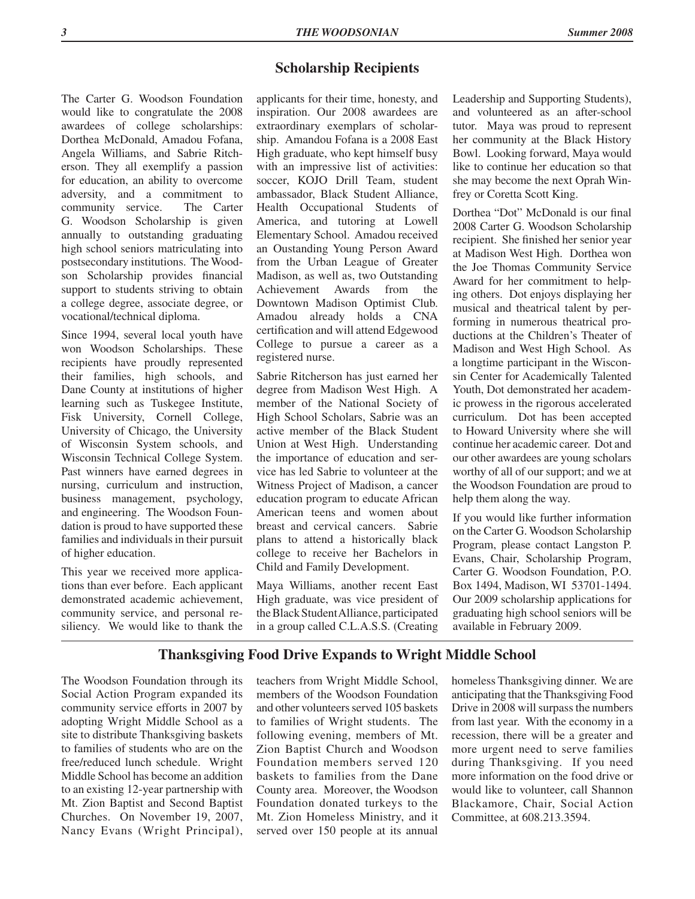## **Scholarship Recipients**

The Carter G. Woodson Foundation would like to congratulate the 2008 awardees of college scholarships: Dorthea McDonald, Amadou Fofana, Angela Williams, and Sabrie Ritcherson. They all exemplify a passion for education, an ability to overcome adversity, and a commitment to community service. The Carter G. Woodson Scholarship is given annually to outstanding graduating high school seniors matriculating into postsecondary institutions. The Woodson Scholarship provides financial support to students striving to obtain a college degree, associate degree, or vocational/technical diploma.

Since 1994, several local youth have won Woodson Scholarships. These recipients have proudly represented their families, high schools, and Dane County at institutions of higher learning such as Tuskegee Institute, Fisk University, Cornell College, University of Chicago, the University of Wisconsin System schools, and Wisconsin Technical College System. Past winners have earned degrees in nursing, curriculum and instruction, business management, psychology, and engineering. The Woodson Foundation is proud to have supported these families and individuals in their pursuit of higher education.

This year we received more applications than ever before. Each applicant demonstrated academic achievement, community service, and personal resiliency. We would like to thank the

applicants for their time, honesty, and inspiration. Our 2008 awardees are extraordinary exemplars of scholarship. Amandou Fofana is a 2008 East High graduate, who kept himself busy with an impressive list of activities: soccer, KOJO Drill Team, student ambassador, Black Student Alliance, Health Occupational Students of America, and tutoring at Lowell Elementary School. Amadou received an Oustanding Young Person Award from the Urban League of Greater Madison, as well as, two Outstanding Achievement Awards from the Downtown Madison Optimist Club. Amadou already holds a CNA certification and will attend Edgewood College to pursue a career as a registered nurse.

Sabrie Ritcherson has just earned her degree from Madison West High. A member of the National Society of High School Scholars, Sabrie was an active member of the Black Student Union at West High. Understanding the importance of education and service has led Sabrie to volunteer at the Witness Project of Madison, a cancer education program to educate African American teens and women about breast and cervical cancers. Sabrie plans to attend a historically black college to receive her Bachelors in Child and Family Development.

Maya Williams, another recent East High graduate, was vice president of the Black Student Alliance, participated in a group called C.L.A.S.S. (Creating

Leadership and Supporting Students), and volunteered as an after-school tutor. Maya was proud to represent her community at the Black History Bowl. Looking forward, Maya would like to continue her education so that she may become the next Oprah Winfrey or Coretta Scott King.

Dorthea "Dot" McDonald is our final 2008 Carter G. Woodson Scholarship recipient. She finished her senior year at Madison West High. Dorthea won the Joe Thomas Community Service Award for her commitment to helping others. Dot enjoys displaying her musical and theatrical talent by performing in numerous theatrical productions at the Children's Theater of Madison and West High School. As a longtime participant in the Wisconsin Center for Academically Talented Youth, Dot demonstrated her academic prowess in the rigorous accelerated curriculum. Dot has been accepted to Howard University where she will continue her academic career. Dot and our other awardees are young scholars worthy of all of our support; and we at the Woodson Foundation are proud to help them along the way.

If you would like further information on the Carter G. Woodson Scholarship Program, please contact Langston P. Evans, Chair, Scholarship Program, Carter G. Woodson Foundation, P.O. Box 1494, Madison, WI 53701-1494. Our 2009 scholarship applications for graduating high school seniors will be available in February 2009.

## **Thanksgiving Food Drive Expands to Wright Middle School**

The Woodson Foundation through its Social Action Program expanded its community service efforts in 2007 by adopting Wright Middle School as a site to distribute Thanksgiving baskets to families of students who are on the free/reduced lunch schedule. Wright Middle School has become an addition to an existing 12-year partnership with Mt. Zion Baptist and Second Baptist Churches. On November 19, 2007, Nancy Evans (Wright Principal), teachers from Wright Middle School, members of the Woodson Foundation and other volunteers served 105 baskets to families of Wright students. The following evening, members of Mt. Zion Baptist Church and Woodson Foundation members served 120 baskets to families from the Dane County area. Moreover, the Woodson Foundation donated turkeys to the Mt. Zion Homeless Ministry, and it served over 150 people at its annual homeless Thanksgiving dinner. We are anticipating that the Thanksgiving Food Drive in 2008 will surpass the numbers from last year. With the economy in a recession, there will be a greater and more urgent need to serve families during Thanksgiving. If you need more information on the food drive or would like to volunteer, call Shannon Blackamore, Chair, Social Action Committee, at 608.213.3594.